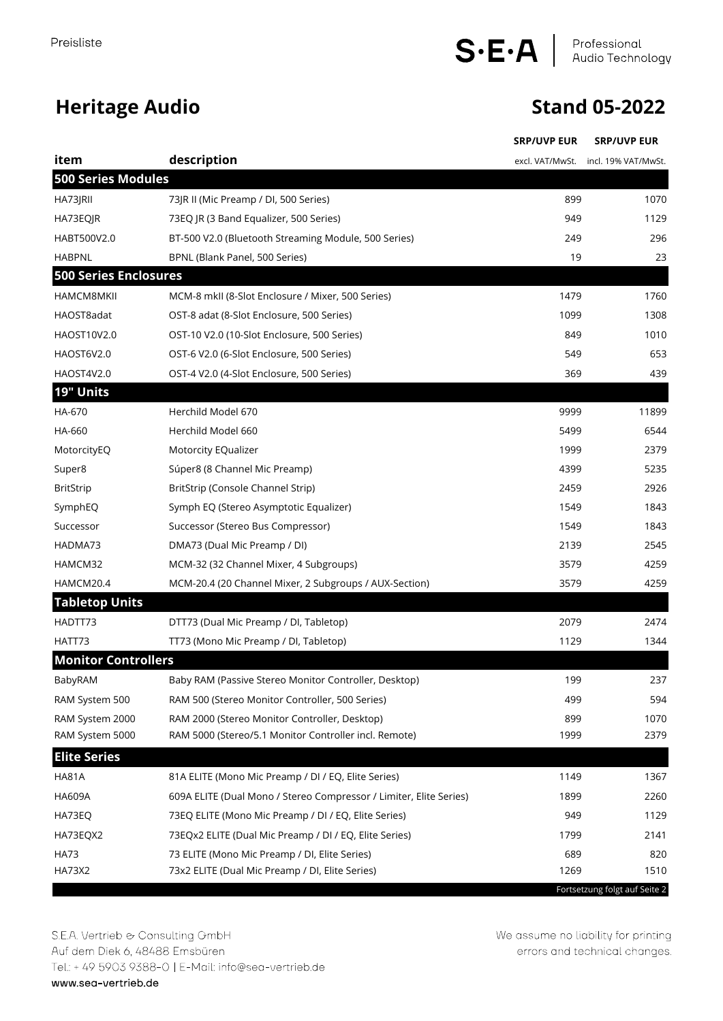## **Heritage Audio Stand 05-2022**

|                              |                                                                    | <b>SRP/UVP EUR</b> | <b>SRP/UVP EUR</b>                  |
|------------------------------|--------------------------------------------------------------------|--------------------|-------------------------------------|
| item                         | description                                                        |                    | excl. VAT/MwSt. incl. 19% VAT/MwSt. |
| <b>500 Series Modules</b>    |                                                                    |                    |                                     |
| HA73JRII                     | 73JR II (Mic Preamp / DI, 500 Series)                              | 899                | 1070                                |
| HA73EQJR                     | 73EQ JR (3 Band Equalizer, 500 Series)                             | 949                | 1129                                |
| HABT500V2.0                  | BT-500 V2.0 (Bluetooth Streaming Module, 500 Series)               | 249                | 296                                 |
| <b>HABPNL</b>                | BPNL (Blank Panel, 500 Series)                                     | 19                 | 23                                  |
| <b>500 Series Enclosures</b> |                                                                    |                    |                                     |
| <b>HAMCM8MKII</b>            | MCM-8 mkII (8-Slot Enclosure / Mixer, 500 Series)                  | 1479               | 1760                                |
| HAOST8adat                   | OST-8 adat (8-Slot Enclosure, 500 Series)                          | 1099               | 1308                                |
| HAOST10V2.0                  | OST-10 V2.0 (10-Slot Enclosure, 500 Series)                        | 849                | 1010                                |
| HAOST6V2.0                   | OST-6 V2.0 (6-Slot Enclosure, 500 Series)                          | 549                | 653                                 |
| HAOST4V2.0                   | OST-4 V2.0 (4-Slot Enclosure, 500 Series)                          | 369                | 439                                 |
| 19" Units                    |                                                                    |                    |                                     |
| HA-670                       | Herchild Model 670                                                 | 9999               | 11899                               |
| HA-660                       | Herchild Model 660                                                 | 5499               | 6544                                |
| MotorcityEQ                  | Motorcity EQualizer                                                | 1999               | 2379                                |
| Super8                       | Súper8 (8 Channel Mic Preamp)                                      | 4399               | 5235                                |
| <b>BritStrip</b>             | BritStrip (Console Channel Strip)                                  | 2459               | 2926                                |
| SymphEQ                      | Symph EQ (Stereo Asymptotic Equalizer)                             | 1549               | 1843                                |
| Successor                    | Successor (Stereo Bus Compressor)                                  | 1549               | 1843                                |
| HADMA73                      | DMA73 (Dual Mic Preamp / DI)                                       | 2139               | 2545                                |
| HAMCM32                      | MCM-32 (32 Channel Mixer, 4 Subgroups)                             | 3579               | 4259                                |
| HAMCM20.4                    | MCM-20.4 (20 Channel Mixer, 2 Subgroups / AUX-Section)             | 3579               | 4259                                |
| <b>Tabletop Units</b>        |                                                                    |                    |                                     |
| HADTT73                      | DTT73 (Dual Mic Preamp / DI, Tabletop)                             | 2079               | 2474                                |
| HATT73                       | TT73 (Mono Mic Preamp / DI, Tabletop)                              | 1129               | 1344                                |
| <b>Monitor Controllers</b>   |                                                                    |                    |                                     |
| BabyRAM                      | Baby RAM (Passive Stereo Monitor Controller, Desktop)              | 199                | 237                                 |
| RAM System 500               | RAM 500 (Stereo Monitor Controller, 500 Series)                    | 499                | 594                                 |
| RAM System 2000              | RAM 2000 (Stereo Monitor Controller, Desktop)                      | 899                | 1070                                |
| RAM System 5000              | RAM 5000 (Stereo/5.1 Monitor Controller incl. Remote)              | 1999               | 2379                                |
| <b>Elite Series</b>          |                                                                    |                    |                                     |
| <b>HA81A</b>                 | 81A ELITE (Mono Mic Preamp / DI / EQ, Elite Series)                | 1149               | 1367                                |
| <b>HA609A</b>                | 609A ELITE (Dual Mono / Stereo Compressor / Limiter, Elite Series) | 1899               | 2260                                |
| HA73EQ                       | 73EQ ELITE (Mono Mic Preamp / DI / EQ, Elite Series)               | 949                | 1129                                |
| HA73EQX2                     | 73EQx2 ELITE (Dual Mic Preamp / DI / EQ, Elite Series)             | 1799               | 2141                                |
| <b>HA73</b>                  | 73 ELITE (Mono Mic Preamp / DI, Elite Series)                      | 689                | 820                                 |
| <b>HA73X2</b>                | 73x2 ELITE (Dual Mic Preamp / DI, Elite Series)                    | 1269               | 1510                                |
|                              |                                                                    |                    | Fortsetzung folgt auf Seite 2       |